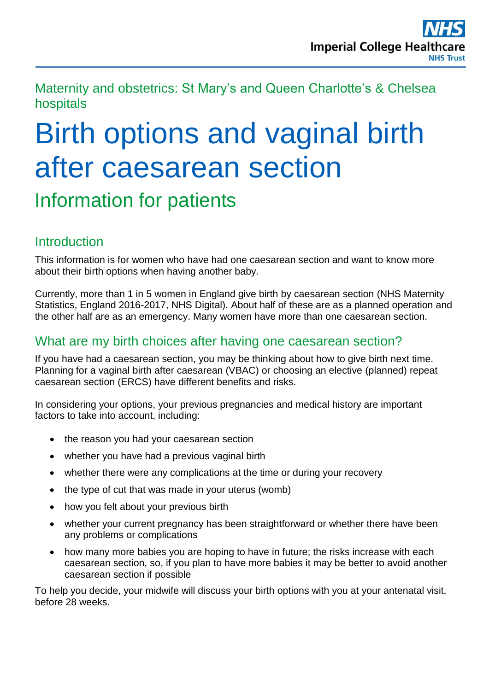Maternity and obstetrics: St Mary's and Queen Charlotte's & Chelsea hospitals

# Birth options and vaginal birth after caesarean section

Information for patients

# **Introduction**

This information is for women who have had one caesarean section and want to know more about their birth options when having another baby.

Currently, more than 1 in 5 women in England give birth by caesarean section (NHS Maternity Statistics, England 2016-2017, NHS Digital). About half of these are as a planned operation and the other half are as an emergency. Many women have more than one caesarean section.

# What are my birth choices after having one caesarean section?

If you have had a caesarean section, you may be thinking about how to give birth next time. Planning for a vaginal birth after caesarean (VBAC) or choosing an elective (planned) repeat caesarean section (ERCS) have different benefits and risks.

In considering your options, your previous pregnancies and medical history are important factors to take into account, including:

- the reason you had your caesarean section
- whether you have had a previous vaginal birth
- whether there were any complications at the time or during your recovery
- $\bullet$  the type of cut that was made in your uterus (womb)
- how you felt about your previous birth
- whether your current pregnancy has been straightforward or whether there have been any problems or complications
- how many more babies you are hoping to have in future; the risks increase with each caesarean section, so, if you plan to have more babies it may be better to avoid another caesarean section if possible

To help you decide, your midwife will discuss your birth options with you at your antenatal visit, before 28 weeks.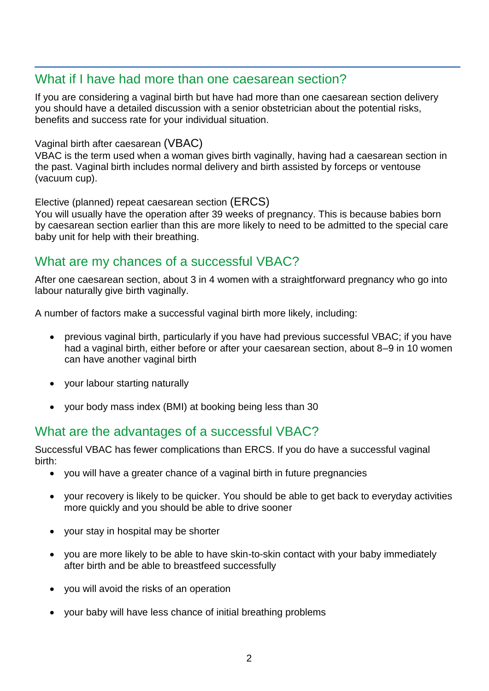#### What if I have had more than one caesarean section?

If you are considering a vaginal birth but have had more than one caesarean section delivery you should have a detailed discussion with a senior obstetrician about the potential risks, benefits and success rate for your individual situation.

#### Vaginal birth after caesarean (VBAC)

VBAC is the term used when a woman gives birth vaginally, having had a caesarean section in the past. Vaginal birth includes normal delivery and birth assisted by forceps or ventouse (vacuum cup).

#### Elective (planned) repeat caesarean section (ERCS)

You will usually have the operation after 39 weeks of pregnancy. This is because babies born by caesarean section earlier than this are more likely to need to be admitted to the special care baby unit for help with their breathing.

#### What are my chances of a successful VBAC?

After one caesarean section, about 3 in 4 women with a straightforward pregnancy who go into labour naturally give birth vaginally.

A number of factors make a successful vaginal birth more likely, including:

- previous vaginal birth, particularly if you have had previous successful VBAC; if you have had a vaginal birth, either before or after your caesarean section, about 8–9 in 10 women can have another vaginal birth
- your labour starting naturally
- your body mass index (BMI) at booking being less than 30

# What are the advantages of a successful VBAC?

Successful VBAC has fewer complications than ERCS. If you do have a successful vaginal birth:

- you will have a greater chance of a vaginal birth in future pregnancies
- your recovery is likely to be quicker. You should be able to get back to everyday activities more quickly and you should be able to drive sooner
- your stay in hospital may be shorter
- you are more likely to be able to have skin-to-skin contact with your baby immediately after birth and be able to breastfeed successfully
- you will avoid the risks of an operation
- your baby will have less chance of initial breathing problems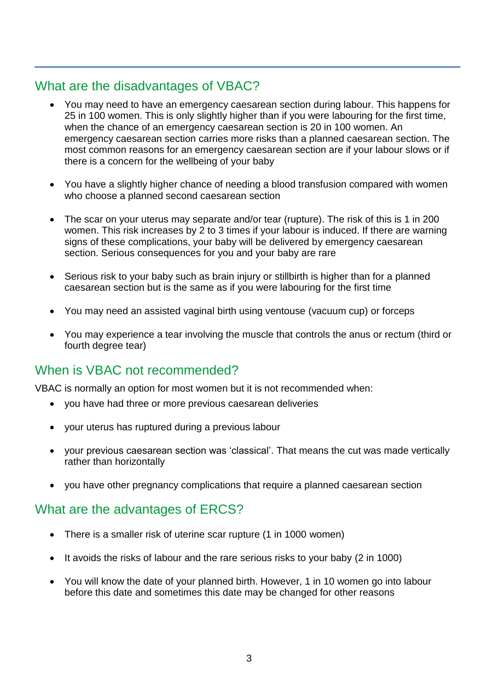# What are the disadvantages of VBAC?

- You may need to have an emergency caesarean section during labour. This happens for 25 in 100 women. This is only slightly higher than if you were labouring for the first time, when the chance of an emergency caesarean section is 20 in 100 women. An emergency caesarean section carries more risks than a planned caesarean section. The most common reasons for an emergency caesarean section are if your labour slows or if there is a concern for the wellbeing of your baby
- You have a slightly higher chance of needing a blood transfusion compared with women who choose a planned second caesarean section
- The scar on your uterus may separate and/or tear (rupture). The risk of this is 1 in 200 women. This risk increases by 2 to 3 times if your labour is induced. If there are warning signs of these complications, your baby will be delivered by emergency caesarean section. Serious consequences for you and your baby are rare
- Serious risk to your baby such as brain injury or stillbirth is higher than for a planned caesarean section but is the same as if you were labouring for the first time
- You may need an assisted vaginal birth using ventouse (vacuum cup) or forceps
- You may experience a tear involving the muscle that controls the anus or rectum (third or fourth degree tear)

# When is VBAC not recommended?

VBAC is normally an option for most women but it is not recommended when:

- you have had three or more previous caesarean deliveries
- your uterus has ruptured during a previous labour
- your previous caesarean section was 'classical'. That means the cut was made vertically rather than horizontally
- you have other pregnancy complications that require a planned caesarean section

#### What are the advantages of ERCS?

- There is a smaller risk of uterine scar rupture (1 in 1000 women)
- It avoids the risks of labour and the rare serious risks to your baby (2 in 1000)
- You will know the date of your planned birth. However, 1 in 10 women go into labour before this date and sometimes this date may be changed for other reasons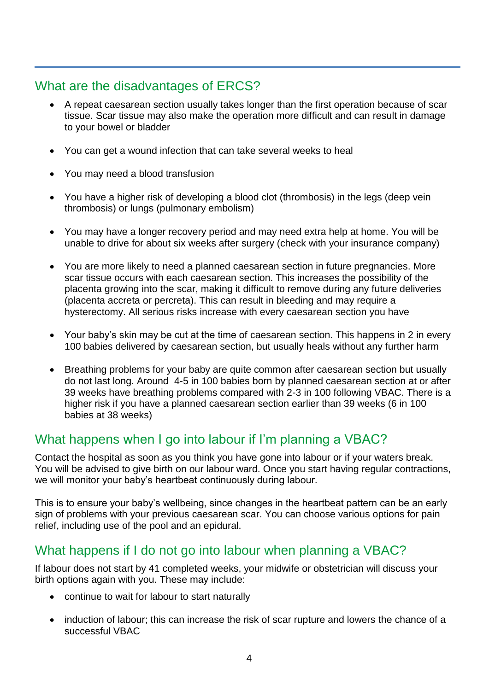# What are the disadvantages of ERCS?

- A repeat caesarean section usually takes longer than the first operation because of scar tissue. Scar tissue may also make the operation more difficult and can result in damage to your bowel or bladder
- You can get a wound infection that can take several weeks to heal
- You may need a blood transfusion
- You have a higher risk of developing a blood clot (thrombosis) in the legs (deep vein thrombosis) or lungs (pulmonary embolism)
- You may have a longer recovery period and may need extra help at home. You will be unable to drive for about six weeks after surgery (check with your insurance company)
- You are more likely to need a planned caesarean section in future pregnancies. More scar tissue occurs with each caesarean section. This increases the possibility of the placenta growing into the scar, making it difficult to remove during any future deliveries (placenta accreta or percreta). This can result in bleeding and may require a hysterectomy. All serious risks increase with every caesarean section you have
- Your baby's skin may be cut at the time of caesarean section. This happens in 2 in every 100 babies delivered by caesarean section, but usually heals without any further harm
- Breathing problems for your baby are quite common after caesarean section but usually do not last long. Around 4-5 in 100 babies born by planned caesarean section at or after 39 weeks have breathing problems compared with 2-3 in 100 following VBAC. There is a higher risk if you have a planned caesarean section earlier than 39 weeks (6 in 100 babies at 38 weeks)

# What happens when I go into labour if I'm planning a VBAC?

Contact the hospital as soon as you think you have gone into labour or if your waters break. You will be advised to give birth on our labour ward. Once you start having regular contractions, we will monitor your baby's heartbeat continuously during labour.

This is to ensure your baby's wellbeing, since changes in the heartbeat pattern can be an early sign of problems with your previous caesarean scar. You can choose various options for pain relief, including use of the pool and an epidural.

# What happens if I do not go into labour when planning a VBAC?

If labour does not start by 41 completed weeks, your midwife or obstetrician will discuss your birth options again with you. These may include:

- continue to wait for labour to start naturally
- induction of labour; this can increase the risk of scar rupture and lowers the chance of a successful VBAC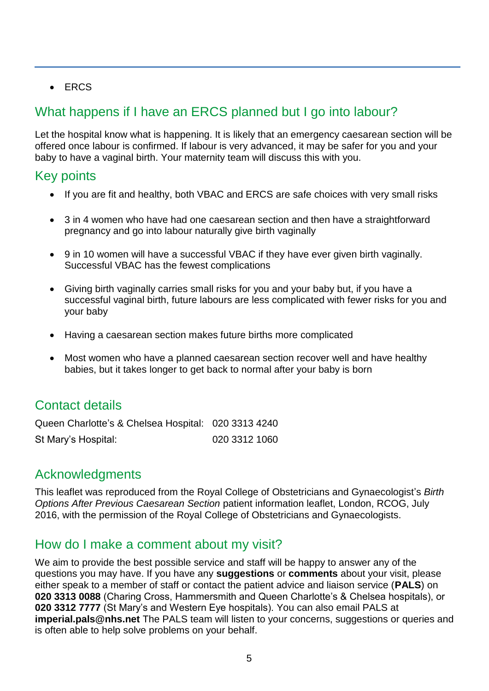$\cdot$  FRCS

# What happens if I have an ERCS planned but I go into labour?

Let the hospital know what is happening. It is likely that an emergency caesarean section will be offered once labour is confirmed. If labour is very advanced, it may be safer for you and your baby to have a vaginal birth. Your maternity team will discuss this with you.

#### Key points

- If you are fit and healthy, both VBAC and ERCS are safe choices with very small risks
- 3 in 4 women who have had one caesarean section and then have a straightforward pregnancy and go into labour naturally give birth vaginally
- 9 in 10 women will have a successful VBAC if they have ever given birth vaginally. Successful VBAC has the fewest complications
- Giving birth vaginally carries small risks for you and your baby but, if you have a successful vaginal birth, future labours are less complicated with fewer risks for you and your baby
- Having a caesarean section makes future births more complicated
- Most women who have a planned caesarean section recover well and have healthy babies, but it takes longer to get back to normal after your baby is born

# Contact details

Queen Charlotte's & Chelsea Hospital: 020 3313 4240 St Mary's Hospital: 020 3312 1060

#### Acknowledgments

This leaflet was reproduced from the Royal College of Obstetricians and Gynaecologist's *Birth Options After Previous Caesarean Section* patient information leaflet, London, RCOG, July 2016, with the permission of the Royal College of Obstetricians and Gynaecologists.

# How do I make a comment about my visit?

We aim to provide the best possible service and staff will be happy to answer any of the questions you may have. If you have any **suggestions** or **comments** about your visit, please either speak to a member of staff or contact the patient advice and liaison service (**PALS**) on **020 3313 0088** (Charing Cross, Hammersmith and Queen Charlotte's & Chelsea hospitals), or **020 3312 7777** (St Mary's and Western Eye hospitals). You can also email PALS at **imperial.pals@nhs.net** The PALS team will listen to your concerns, suggestions or queries and is often able to help solve problems on your behalf.